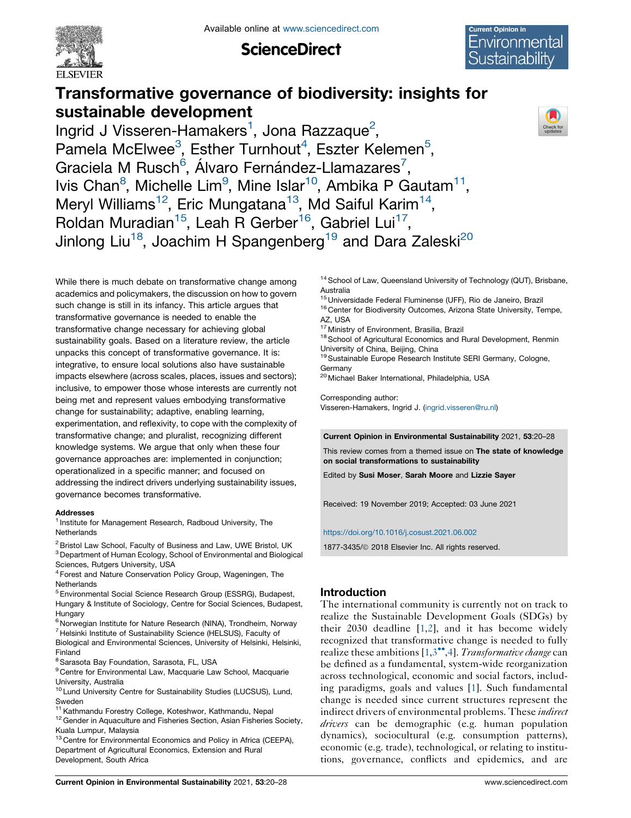

**ScienceDirect** 



# Transformative governance of biodiversity: insights for sustainable development



Ingrid J Visseren-Hamakers<sup>1</sup>, Jona Razzaque<sup>2</sup>, Pamela McElwee<sup>3</sup>, Esther Turnhout<sup>4</sup>, Eszter Kelemen<sup>5</sup>, Graciela M Rusch<sup>6</sup>, Álvaro Fernández-Llamazares<sup>7</sup>, lvis Chan<sup>8</sup>, Michelle Lim<sup>9</sup>, Mine Islar<sup>10</sup>, Ambika P Gautam<sup>11</sup>, Meryl Williams<sup>12</sup>, Eric Mungatana<sup>13</sup>, Md Saiful Karim<sup>14</sup>, Roldan Muradian<sup>15</sup>, Leah R Gerber<sup>16</sup>, Gabriel Lui<sup>17</sup>, Jinlong Liu<sup>18</sup>, Joachim H Spangenberg<sup>19</sup> and Dara Zaleski<sup>20</sup>

While there is much debate on transformative change among academics and policymakers, the discussion on how to govern such change is still in its infancy. This article argues that transformative governance is needed to enable the transformative change necessary for achieving global sustainability goals. Based on a literature review, the article unpacks this concept of transformative governance. It is: integrative, to ensure local solutions also have sustainable impacts elsewhere (across scales, places, issues and sectors); inclusive, to empower those whose interests are currently not being met and represent values embodying transformative change for sustainability; adaptive, enabling learning, experimentation, and reflexivity, to cope with the complexity of transformative change; and pluralist, recognizing different knowledge systems. We argue that only when these four governance approaches are: implemented in conjunction; operationalized in a specific manner; and focused on addressing the indirect drivers underlying sustainability issues, governance becomes transformative.

#### Addresses

<sup>1</sup> Institute for Management Research, Radboud University, The **Netherlands** 

<sup>2</sup> Bristol Law School, Faculty of Business and Law, UWE Bristol, UK <sup>3</sup> Department of Human Ecology, School of Environmental and Biological Sciences, Rutgers University, USA

<sup>4</sup> Forest and Nature Conservation Policy Group, Wageningen, The **Netherlands** 

<sup>5</sup> Environmental Social Science Research Group (ESSRG), Budapest, Hungary & Institute of Sociology, Centre for Social Sciences, Budapest, Hungary

<sup>6</sup> Norwegian Institute for Nature Research (NINA), Trondheim, Norway <sup>7</sup> Helsinki Institute of Sustainability Science (HELSUS), Faculty of Biological and Environmental Sciences, University of Helsinki, Helsinki, Finland

<sup>8</sup> Sarasota Bay Foundation, Sarasota, FL, USA

<sup>9</sup> Centre for Environmental Law, Macquarie Law School, Macquarie University, Australia

<sup>10</sup> Lund University Centre for Sustainability Studies (LUCSUS), Lund, Sweden

<sup>11</sup> Kathmandu Forestry College, Koteshwor, Kathmandu, Nepal

<sup>12</sup> Gender in Aquaculture and Fisheries Section, Asian Fisheries Society, Kuala Lumpur, Malaysia

<sup>13</sup> Centre for Environmental Economics and Policy in Africa (CEEPA), Department of Agricultural Economics, Extension and Rural Development, South Africa

<sup>14</sup> School of Law, Queensland University of Technology (QUT), Brisbane, Australia

<sup>15</sup> Universidade Federal Fluminense (UFF), Rio de Janeiro, Brazil

<sup>16</sup> Center for Biodiversity Outcomes, Arizona State University, Tempe, AZ, USA

<sup>17</sup> Ministry of Environment, Brasilia, Brazil

<sup>18</sup> School of Agricultural Economics and Rural Development, Renmin University of China, Beijing, China

<sup>19</sup> Sustainable Europe Research Institute SERI Germany, Cologne, Germany

<sup>20</sup> Michael Baker International, Philadelphia, USA

Corresponding author: Visseren-Hamakers, Ingrid J. ([ingrid.visseren@ru.nl\)](mailto:ingrid.visseren@ru.nl)

Current Opinion in Environmental Sustainability 2021, 53:20–28

This review comes from a themed issue on The state of knowledge on social transformations to sustainability

Edited by Susi Moser, Sarah Moore and Lizzie Sayer

Received: 19 November 2019; Accepted: 03 June 2021

<https://doi.org/10.1016/j.cosust.2021.06.002>

1877-3435/ã 2018 Elsevier Inc. All rights reserved.

# Introduction

The international community is currently not on track to realize the Sustainable Development Goals (SDGs) by their 2030 deadline [[1,2](#page-5-0)], and it has become widely recognized that transformative change is needed to fully realize these ambitions  $[1,3^{\bullet\bullet},4]$  $[1,3^{\bullet\bullet},4]$  $[1,3^{\bullet\bullet},4]$ . Transformative change can be defined as a fundamental, system-wide reorganization across technological, economic and social factors, including paradigms, goals and values [\[1](#page-5-0)]. Such fundamental change is needed since current structures represent the indirect drivers of environmental problems. These *indirect* drivers can be demographic (e.g. human population dynamics), sociocultural (e.g. consumption patterns), economic (e.g. trade), technological, or relating to institutions, governance, conflicts and epidemics, and are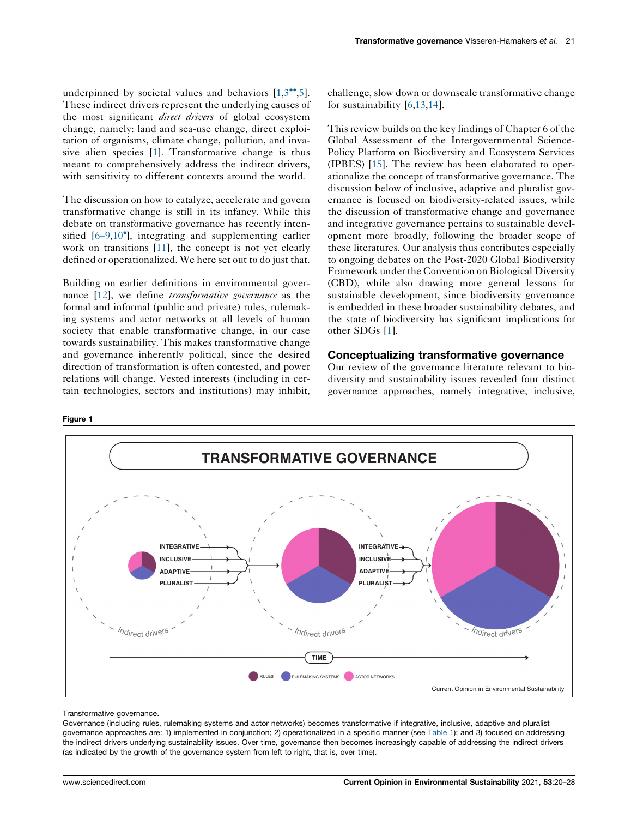<span id="page-1-0"></span>underpinned by societal values and behaviors  $[1,3$  $[1,3$ <sup>\*\*</sup>[,5](#page-5-0)]. These indirect drivers represent the underlying causes of the most significant *direct drivers* of global ecosystem change, namely: land and sea-use change, direct exploitation of organisms, climate change, pollution, and invasive alien species [\[1](#page-5-0)]. Transformative change is thus meant to comprehensively address the indirect drivers, with sensitivity to different contexts around the world.

The discussion on how to catalyze, accelerate and govern transformative change is still in its infancy. While this debate on transformative governance has recently intensified [\[6–9](#page-5-0),[10](#page-5-0) ], integrating and supplementing earlier work on transitions [[11\]](#page-5-0), the concept is not yet clearly defined or operationalized. We here set out to do just that.

Building on earlier definitions in environmental gover-nance [\[12](#page-5-0)], we define *transformative governance* as the formal and informal (public and private) rules, rulemaking systems and actor networks at all levels of human society that enable transformative change, in our case towards sustainability. This makes transformative change and governance inherently political, since the desired direction of transformation is often contested, and power relations will change. Vested interests (including in certain technologies, sectors and institutions) may inhibit, challenge, slow down or downscale transformative change for sustainability [[6](#page-5-0)[,13](#page-6-0),[14\]](#page-6-0).

This review builds on the key findings of Chapter 6 of the Global Assessment of the Intergovernmental Science-Policy Platform on Biodiversity and Ecosystem Services (IPBES) [\[15](#page-6-0)]. The review has been elaborated to operationalize the concept of transformative governance. The discussion below of inclusive, adaptive and pluralist governance is focused on biodiversity-related issues, while the discussion of transformative change and governance and integrative governance pertains to sustainable development more broadly, following the broader scope of these literatures. Our analysis thus contributes especially to ongoing debates on the Post-2020 Global Biodiversity Framework under the Convention on Biological Diversity (CBD), while also drawing more general lessons for sustainable development, since biodiversity governance is embedded in these broader sustainability debates, and the state of biodiversity has significant implications for other SDGs [[1\]](#page-5-0).

# Conceptualizing transformative governance

Our review of the governance literature relevant to biodiversity and sustainability issues revealed four distinct governance approaches, namely integrative, inclusive,



#### Transformative governance.

Governance (including rules, rulemaking systems and actor networks) becomes transformative if integrative, inclusive, adaptive and pluralist governance approaches are: 1) implemented in conjunction; 2) operationalized in a specific manner (see [Table](#page-4-0) 1); and 3) focused on addressing the indirect drivers underlying sustainability issues. Over time, governance then becomes increasingly capable of addressing the indirect drivers (as indicated by the growth of the governance system from left to right, that is, over time).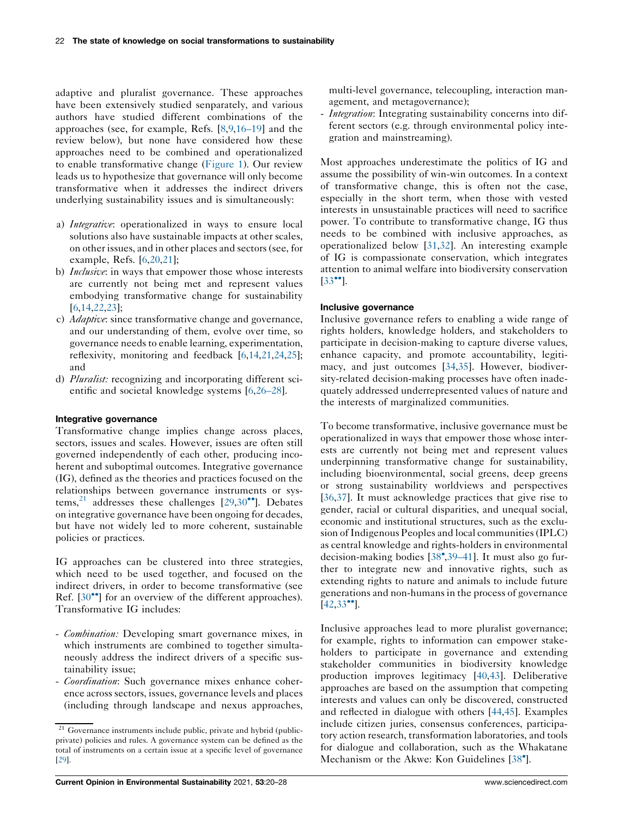adaptive and pluralist governance. These approaches have been extensively studied senparately, and various authors have studied different combinations of the approaches (see, for example, Refs. [\[8](#page-5-0),[9,](#page-5-0)[16–19](#page-6-0)] and the review below), but none have considered how these approaches need to be combined and operationalized to enable transformative change [\(Figure](#page-1-0) 1). Our review leads us to hypothesize that governance will only become transformative when it addresses the indirect drivers underlying sustainability issues and is simultaneously:

- a) Integrative: operationalized in ways to ensure local solutions also have sustainable impacts at other scales, on other issues, and in other places and sectors(see, for example, Refs. [\[6](#page-5-0),[20,21](#page-6-0)];
- b) *Inclusive*: in ways that empower those whose interests are currently not being met and represent values embodying transformative change for sustainability [\[6](#page-5-0),[14](#page-6-0),[22,23](#page-6-0)];
- c) Adaptive: since transformative change and governance, and our understanding of them, evolve over time, so governance needs to enable learning, experimentation, reflexivity, monitoring and feedback [\[6](#page-5-0),[14](#page-6-0),[21,24,25](#page-6-0)]; and
- d) Pluralist: recognizing and incorporating different scientific and societal knowledge systems [\[6](#page-5-0),[26–28\]](#page-6-0).

## Integrative governance

Transformative change implies change across places, sectors, issues and scales. However, issues are often still governed independently of each other, producing incoherent and suboptimal outcomes. Integrative governance (IG), defined as the theories and practices focused on the relationships between governance instruments or systems, $^{21}$  addresses these challenges [[29,30](#page-6-0)<sup> $\bullet$ </sup>]. Debates on integrative governance have been ongoing for decades, but have not widely led to more coherent, sustainable policies or practices.

IG approaches can be clustered into three strategies, which need to be used together, and focused on the indirect drivers, in order to become transformative (see Ref.  $[30\bullet]$  $[30\bullet]$  for an overview of the different approaches). Transformative IG includes:

- Combination: Developing smart governance mixes, in which instruments are combined to together simultaneously address the indirect drivers of a specific sustainability issue;
- Coordination: Such governance mixes enhance coherence across sectors, issues, governance levels and places (including through landscape and nexus approaches,

multi-level governance, telecoupling, interaction management, and metagovernance);

- *Integration*: Integrating sustainability concerns into different sectors (e.g. through environmental policy integration and mainstreaming).

Most approaches underestimate the politics of IG and assume the possibility of win-win outcomes. In a context of transformative change, this is often not the case, especially in the short term, when those with vested interests in unsustainable practices will need to sacrifice power. To contribute to transformative change, IG thus needs to be combined with inclusive approaches, as operationalized below [[31,32](#page-6-0)]. An interesting example of IG is compassionate conservation, which integrates attention to animal welfare into biodiversity conservation  $\left[33\right]$  $\left[33\right]$  $\left[33\right]$ <sup>o</sup>.

### Inclusive governance

Inclusive governance refers to enabling a wide range of rights holders, knowledge holders, and stakeholders to participate in decision-making to capture diverse values, enhance capacity, and promote accountability, legitimacy, and just outcomes [[34,35](#page-6-0)]. However, biodiversity-related decision-making processes have often inadequately addressed underrepresented values of nature and the interests of marginalized communities.

To become transformative, inclusive governance must be operationalized in ways that empower those whose interests are currently not being met and represent values underpinning transformative change for sustainability, including bioenvironmental, social greens, deep greens or strong sustainability worldviews and perspectives [\[36](#page-6-0),[37\]](#page-6-0). It must acknowledge practices that give rise to gender, racial or cultural disparities, and unequal social, economic and institutional structures, such as the exclusion of Indigenous Peoples and local communities (IPLC) as central knowledge and rights-holders in environmental decision-making bodies [[38](#page-6-0) [,39–41](#page-6-0)]. It must also go further to integrate new and innovative rights, such as extending rights to nature and animals to include future generations and non-humans in the process of governance  $[42,33$  $[42,33$  $[42,33$ <sup>\co-1</sup>].

Inclusive approaches lead to more pluralist governance; for example, rights to information can empower stakeholders to participate in governance and extending stakeholder communities in biodiversity knowledge production improves legitimacy [\[40](#page-6-0),[43\]](#page-6-0). Deliberative approaches are based on the assumption that competing interests and values can only be discovered, constructed and reflected in dialogue with others [\[44](#page-6-0),[45\]](#page-6-0). Examples include citizen juries, consensus conferences, participatory action research, transformation laboratories, and tools for dialogue and collaboration, such as the Whakatane Mechanism or the Akwe: Kon Guidelines [[38](#page-6-0)<sup>°</sup>].

 $\frac{21}{21}$  Governance instruments include public, private and hybrid (publicprivate) policies and rules. A governance system can be defined as the total of instruments on a certain issue at a specific level of governance [[29](#page-6-0)].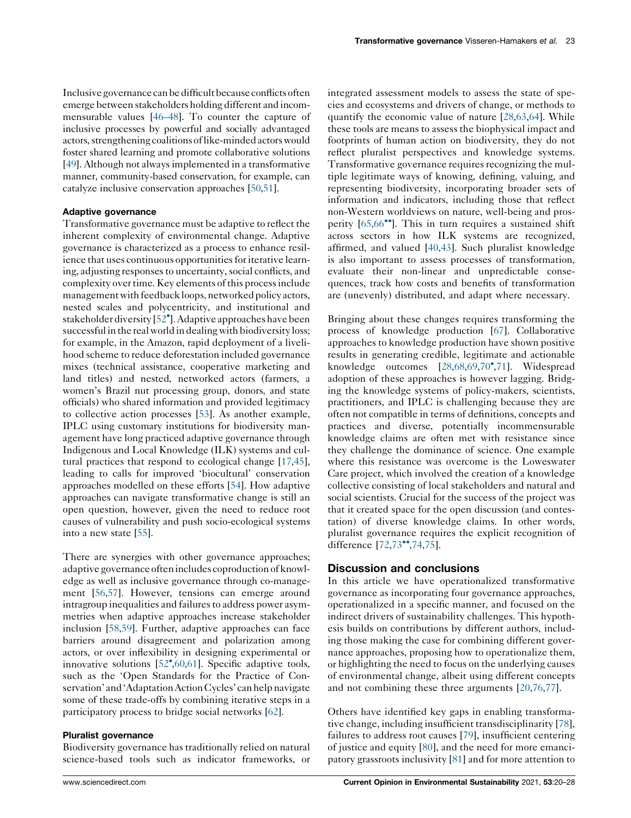Inclusive governance canbedifficult because conflicts often emerge between stakeholders holding different and incommensurable values [[46–48](#page-6-0)]. To counter the capture of inclusive processes by powerful and socially advantaged actors, strengthening coalitions of like-minded actors would foster shared learning and promote collaborative solutions [\[49\]](#page-7-0). Although not always implemented in a transformative manner, community-based conservation, for example, can catalyze inclusive conservation approaches [[50](#page-7-0),[51](#page-7-0)].

#### Adaptive governance

Transformative governance must be adaptive to reflect the inherent complexity of environmental change. Adaptive governance is characterized as a process to enhance resilience that uses continuous opportunities for iterative learning, adjusting responses to uncertainty, social conflicts, and complexity over time. Key elements of this process include management with feedback loops, networked policy actors, nested scales and polycentricity, and institutional and stakeholder diversity [[52](#page-7-0)°]. Adaptive approaches have been successful in the real world in dealing with biodiversity loss; for example, in the Amazon, rapid deployment of a livelihood scheme to reduce deforestation included governance mixes (technical assistance, cooperative marketing and land titles) and nested, networked actors (farmers, a women's Brazil nut processing group, donors, and state officials) who shared information and provided legitimacy to collective action processes [\[53](#page-7-0)]. As another example, IPLC using customary institutions for biodiversity management have long practiced adaptive governance through Indigenous and Local Knowledge (ILK) systems and cultural practices that respond to ecological change [\[17](#page-6-0),[45](#page-6-0)], leading to calls for improved 'biocultural' conservation approaches modelled on these efforts [[54\]](#page-7-0). How adaptive approaches can navigate transformative change is still an open question, however, given the need to reduce root causes of vulnerability and push socio-ecological systems into a new state [\[55](#page-7-0)].

There are synergies with other governance approaches; adaptive governance often includes coproduction of knowledge as well as inclusive governance through co-management [\[56](#page-7-0),[57\]](#page-7-0). However, tensions can emerge around intragroup inequalities and failures to address power asymmetries when adaptive approaches increase stakeholder inclusion [[58,59\]](#page-7-0). Further, adaptive approaches can face barriers around disagreement and polarization among actors, or over inflexibility in designing experimental or innovative solutions [[52](#page-7-0),[60](#page-7-0),[61\]](#page-7-0). Specific adaptive tools, such as the 'Open Standards for the Practice of Conservation' and 'Adaptation Action Cycles' can help navigate some of these trade-offs by combining iterative steps in a participatory process to bridge social networks [\[62](#page-7-0)].

#### Pluralist governance

Biodiversity governance has traditionally relied on natural science-based tools such as indicator frameworks, or integrated assessment models to assess the state of species and ecosystems and drivers of change, or methods to quantify the economic value of nature [[28](#page-6-0)[,63](#page-7-0),[64\]](#page-7-0). While these tools are means to assess the biophysical impact and footprints of human action on biodiversity, they do not reflect pluralist perspectives and knowledge systems. Transformative governance requires recognizing the multiple legitimate ways of knowing, defining, valuing, and representing biodiversity, incorporating broader sets of information and indicators, including those that reflect non-Western worldviews on nature, well-being and prosperity  $[65,66\degree]$  $[65,66\degree]$  $[65,66\degree]$ . This in turn requires a sustained shift across sectors in how ILK systems are recognized, affirmed, and valued [[40,43](#page-6-0)]. Such pluralist knowledge is also important to assess processes of transformation, evaluate their non-linear and unpredictable consequences, track how costs and benefits of transformation are (unevenly) distributed, and adapt where necessary.

Bringing about these changes requires transforming the process of knowledge production [\[67](#page-7-0)]. Collaborative approaches to knowledge production have shown positive results in generating credible, legitimate and actionable knowledge outcomes [[28,](#page-6-0)[68](#page-7-0),[69,70](#page-7-0)°,[71\]](#page-7-0). Widespread adoption of these approaches is however lagging. Bridging the knowledge systems of policy-makers, scientists, practitioners, and IPLC is challenging because they are often not compatible in terms of definitions, concepts and practices and diverse, potentially incommensurable knowledge claims are often met with resistance since they challenge the dominance of science. One example where this resistance was overcome is the Loweswater Care project, which involved the creation of a knowledge collective consisting of local stakeholders and natural and social scientists. Crucial for the success of the project was that it created space for the open discussion (and contestation) of diverse knowledge claims. In other words, pluralist governance requires the explicit recognition of difference  $[72,73$  $[72,73$  $[72,73$ <sup>\*\*</sup>[,74](#page-7-0),[75\]](#page-7-0).

## Discussion and conclusions

In this article we have operationalized transformative governance as incorporating four governance approaches, operationalized in a specific manner, and focused on the indirect drivers of sustainability challenges. This hypothesis builds on contributions by different authors, including those making the case for combining different governance approaches, proposing how to operationalize them, or highlighting the need to focus on the underlying causes of environmental change, albeit using different concepts and not combining these three arguments [[20](#page-6-0)[,76](#page-7-0),[77\]](#page-7-0).

Others have identified key gaps in enabling transformative change, including insufficient transdisciplinarity [[78\]](#page-8-0), failures to address root causes [[79\]](#page-8-0), insufficient centering of justice and equity [\[80](#page-8-0)], and the need for more emancipatory grassroots inclusivity [\[81](#page-8-0)] and for more attention to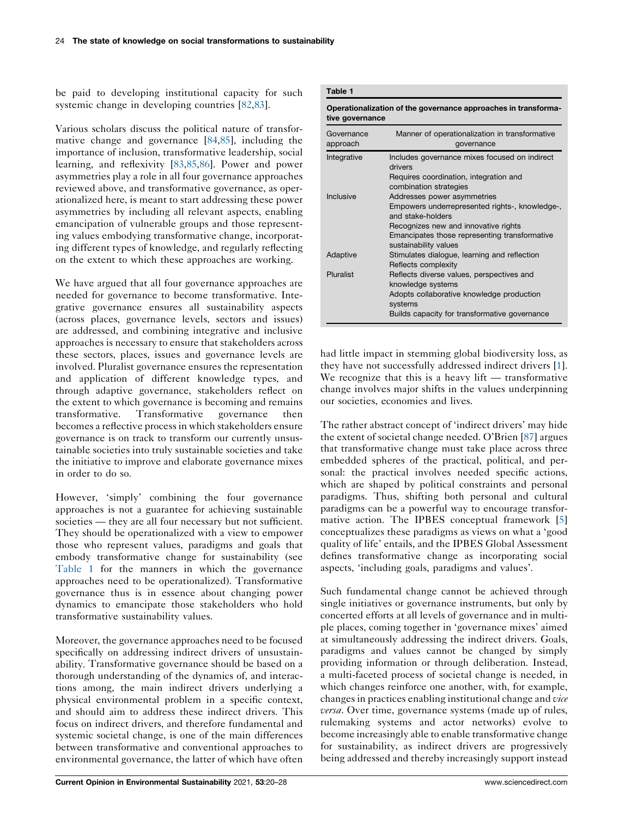<span id="page-4-0"></span>be paid to developing institutional capacity for such systemic change in developing countries [[82,83\]](#page-8-0).

Various scholars discuss the political nature of transformative change and governance [\[84](#page-8-0),[85\]](#page-8-0), including the importance of inclusion, transformative leadership, social learning, and reflexivity [[83,85](#page-8-0),[86\]](#page-8-0). Power and power asymmetries play a role in all four governance approaches reviewed above, and transformative governance, as operationalized here, is meant to start addressing these power asymmetries by including all relevant aspects, enabling emancipation of vulnerable groups and those representing values embodying transformative change, incorporating different types of knowledge, and regularly reflecting on the extent to which these approaches are working.

We have argued that all four governance approaches are needed for governance to become transformative. Integrative governance ensures all sustainability aspects (across places, governance levels, sectors and issues) are addressed, and combining integrative and inclusive approaches is necessary to ensure that stakeholders across these sectors, places, issues and governance levels are involved. Pluralist governance ensures the representation and application of different knowledge types, and through adaptive governance, stakeholders reflect on the extent to which governance is becoming and remains transformative. Transformative governance then becomes a reflective processin which stakeholders ensure governance is on track to transform our currently unsustainable societies into truly sustainable societies and take the initiative to improve and elaborate governance mixes in order to do so.

However, 'simply' combining the four governance approaches is not a guarantee for achieving sustainable societies — they are all four necessary but not sufficient. They should be operationalized with a view to empower those who represent values, paradigms and goals that embody transformative change for sustainability (see Table 1 for the manners in which the governance approaches need to be operationalized). Transformative governance thus is in essence about changing power dynamics to emancipate those stakeholders who hold transformative sustainability values.

Moreover, the governance approaches need to be focused specifically on addressing indirect drivers of unsustainability. Transformative governance should be based on a thorough understanding of the dynamics of, and interactions among, the main indirect drivers underlying a physical environmental problem in a specific context, and should aim to address these indirect drivers. This focus on indirect drivers, and therefore fundamental and systemic societal change, is one of the main differences between transformative and conventional approaches to environmental governance, the latter of which have often

Operationalization of the governance approaches in transformative governance

| Governance<br>approach | Manner of operationalization in transformative<br>governance           |
|------------------------|------------------------------------------------------------------------|
| Integrative            | Includes governance mixes focused on indirect                          |
|                        | drivers                                                                |
|                        | Requires coordination, integration and                                 |
|                        | combination strategies                                                 |
| Inclusive              | Addresses power asymmetries                                            |
|                        | Empowers underrepresented rights-, knowledge-,                         |
|                        | and stake-holders                                                      |
|                        | Recognizes new and innovative rights                                   |
|                        | Emancipates those representing transformative<br>sustainability values |
| Adaptive               | Stimulates dialogue, learning and reflection                           |
|                        | Reflects complexity                                                    |
| Pluralist              | Reflects diverse values, perspectives and                              |
|                        | knowledge systems                                                      |
|                        | Adopts collaborative knowledge production                              |
|                        | systems                                                                |
|                        | Builds capacity for transformative governance                          |

had little impact in stemming global biodiversity loss, as they have not successfully addressed indirect drivers [[1](#page-5-0)]. We recognize that this is a heavy lift  $-$  transformative change involves major shifts in the values underpinning our societies, economies and lives.

The rather abstract concept of 'indirect drivers' may hide the extent of societal change needed. O'Brien [[87\]](#page-8-0) argues that transformative change must take place across three embedded spheres of the practical, political, and personal: the practical involves needed specific actions, which are shaped by political constraints and personal paradigms. Thus, shifting both personal and cultural paradigms can be a powerful way to encourage transformative action. The IPBES conceptual framework [[5\]](#page-5-0) conceptualizes these paradigms as views on what a 'good quality of life' entails, and the IPBES Global Assessment defines transformative change as incorporating social aspects, 'including goals, paradigms and values'.

Such fundamental change cannot be achieved through single initiatives or governance instruments, but only by concerted efforts at all levels of governance and in multiple places, coming together in 'governance mixes' aimed at simultaneously addressing the indirect drivers. Goals, paradigms and values cannot be changed by simply providing information or through deliberation. Instead, a multi-faceted process of societal change is needed, in which changes reinforce one another, with, for example, changes in practices enabling institutional change and vice versa. Over time, governance systems (made up of rules, rulemaking systems and actor networks) evolve to become increasingly able to enable transformative change for sustainability, as indirect drivers are progressively being addressed and thereby increasingly support instead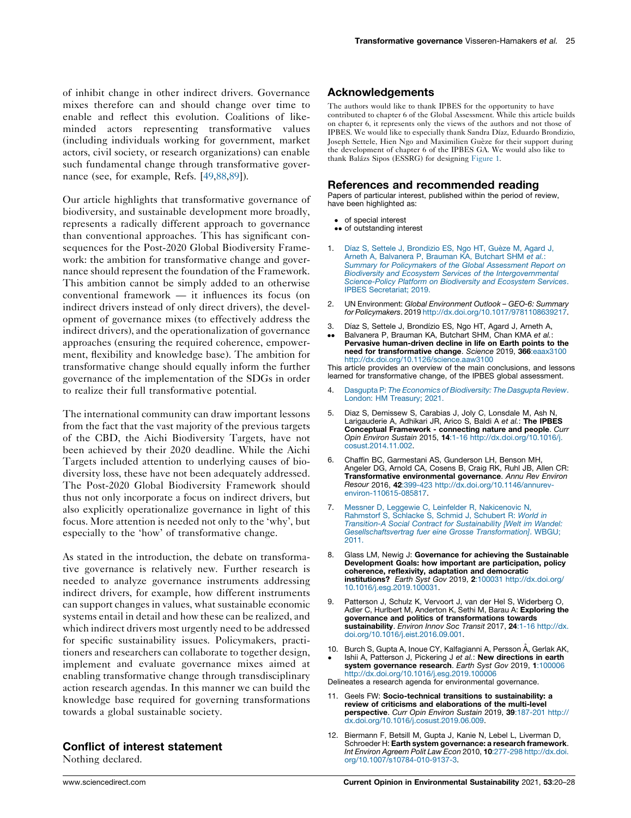<span id="page-5-0"></span>of inhibit change in other indirect drivers. Governance mixes therefore can and should change over time to enable and reflect this evolution. Coalitions of likeminded actors representing transformative values (including individuals working for government, market actors, civil society, or research organizations) can enable such fundamental change through transformative governance (see, for example, Refs. [[49](#page-7-0),[88](#page-8-0),[89](#page-8-0)]).

Our article highlights that transformative governance of biodiversity, and sustainable development more broadly, represents a radically different approach to governance than conventional approaches. This has significant consequences for the Post-2020 Global Biodiversity Framework: the ambition for transformative change and governance should represent the foundation of the Framework. This ambition cannot be simply added to an otherwise conventional framework — it influences its focus (on indirect drivers instead of only direct drivers), the development of governance mixes (to effectively address the indirect drivers), and the operationalization of governance approaches (ensuring the required coherence, empowerment, flexibility and knowledge base). The ambition for transformative change should equally inform the further governance of the implementation of the SDGs in order to realize their full transformative potential.

The international community can draw important lessons from the fact that the vast majority of the previous targets of the CBD, the Aichi Biodiversity Targets, have not been achieved by their 2020 deadline. While the Aichi Targets included attention to underlying causes of biodiversity loss, these have not been adequately addressed. The Post-2020 Global Biodiversity Framework should thus not only incorporate a focus on indirect drivers, but also explicitly operationalize governance in light of this focus. More attention is needed not only to the 'why', but especially to the 'how' of transformative change.

As stated in the introduction, the debate on transformative governance is relatively new. Further research is needed to analyze governance instruments addressing indirect drivers, for example, how different instruments can support changes in values, what sustainable economic systems entail in detail and how these can be realized, and which indirect drivers most urgently need to be addressed for specific sustainability issues. Policymakers, practitioners and researchers can collaborate to together design, implement and evaluate governance mixes aimed at enabling transformative change through transdisciplinary action research agendas. In this manner we can build the knowledge base required for governing transformations towards a global sustainable society.

## Conflict of interest statement

Nothing declared.

# Acknowledgements

The authors would like to thank IPBES for the opportunity to have contributed to chapter 6 of the Global Assessment. While this article builds on chapter 6, it represents only the views of the authors and not those of IPBES. We would like to especially thank Sandra Díaz, Eduardo Brondizio, Joseph Settele, Hien Ngo and Maximilien Guèze for their support during the development of chapter 6 of the IPBES GA. We would also like to thank Balázs Sipos (ESSRG) for designing [Figure](#page-1-0) 1.

#### References and recommended reading

Papers of particular interest, published within the period of review, have been highlighted as:

- of special interest
- •• of outstanding interest
- 1. Díaz S, Settele J, [Brondizio](http://refhub.elsevier.com/S1877-3435(21)00074-9/sbref0005) ES, Ngo HT, Guèze M, Agard J, Arneth A, [Balvanera](http://refhub.elsevier.com/S1877-3435(21)00074-9/sbref0005) P, Brauman KA, Butchart SHM et al.: Summary for [Policymakers](http://refhub.elsevier.com/S1877-3435(21)00074-9/sbref0005) of the Global Assessment Report on Biodiversity and Ecosystem Services of the [Intergovernmental](http://refhub.elsevier.com/S1877-3435(21)00074-9/sbref0005) [Science-Policy](http://refhub.elsevier.com/S1877-3435(21)00074-9/sbref0005) Platform on Biodiversity and Ecosystem Services. IPBES [Secretariat;](http://refhub.elsevier.com/S1877-3435(21)00074-9/sbref0005) 2019.
- 2. UN Environment: Global Environment Outlook GEO-6: Summary for Policymakers. 2019 <http://dx.doi.org/10.1017/9781108639217>.
- 3. Díaz S, Settele J, Brondízio ES, Ngo HT, Agard J, Arneth A,
- $\ddot{\phantom{0}}$ Balvanera P, Brauman KA, Butchart SHM, Chan KMA et al.: Pervasive human-driven decline in life on Earth points to the need for transformative change. Science 2019, 366:eaax3100 <http://dx.doi.org/10.1126/science.aaw3100>

This article provides an overview of the main conclusions, and lessons learned for transformative change, of the IPBES global assessment.

- 4. Dasgupta P: The Economics of [Biodiversity:](http://refhub.elsevier.com/S1877-3435(21)00074-9/sbref0020) The Dasgupta Review. London: HM [Treasury;](http://refhub.elsevier.com/S1877-3435(21)00074-9/sbref0020) 2021.
- 5. Diaz S, Demissew S, Carabias J, Joly C, Lonsdale M, Ash N, Larigauderie A, Adhikari JR, Arico S, Baldi A et al.: The IPBES Conceptual Framework - connecting nature and people. Curr Opin Environ Sustain 2015, 14:1-16 [http://dx.doi.org/10.1016/j.](http://dx.doi.org/10.1016/j.cosust.2014.11.002) [cosust.2014.11.002](http://dx.doi.org/10.1016/j.cosust.2014.11.002).
- 6. Chaffin BC, Garmestani AS, Gunderson LH, Benson MH, Angeler DG, Arnold CA, Cosens B, Craig RK, Ruhl JB, Allen CR: Transformative environmental governance. Annu Rev Environ Resour 2016, 42:399-423 [http://dx.doi.org/10.1146/annurev](http://dx.doi.org/10.1146/annurev-environ-110615-085817)[environ-110615-085817](http://dx.doi.org/10.1146/annurev-environ-110615-085817).
- 7. Messner D, Leggewie C, Leinfelder R, [Nakicenovic](http://refhub.elsevier.com/S1877-3435(21)00074-9/sbref0035) N, [Rahmstorf](http://refhub.elsevier.com/S1877-3435(21)00074-9/sbref0035) S, Schlacke S, Schmid J, Schubert R: World in Transition-A Social Contract for [Sustainability](http://refhub.elsevier.com/S1877-3435(21)00074-9/sbref0035) [Welt im Wandel: [Gesellschaftsvertrag](http://refhub.elsevier.com/S1877-3435(21)00074-9/sbref0035) fuer eine Grosse Transformation]. WBGU; [2011.](http://refhub.elsevier.com/S1877-3435(21)00074-9/sbref0035)
- 8. Glass LM, Newig J: Governance for achieving the Sustainable Development Goals: how important are participation, policy coherence, reflexivity, adaptation and democratic institutions? Earth Syst Gov 2019, 2:100031 [http://dx.doi.org/](http://dx.doi.org/10.1016/j.esg.2019.100031) [10.1016/j.esg.2019.100031](http://dx.doi.org/10.1016/j.esg.2019.100031).
- Patterson J, Schulz K, Vervoort J, van der Hel S, Widerberg O, Adler C, Hurlbert M, Anderton K, Sethi M, Barau A: Exploring the governance and politics of transformations towards sustainability. Environ Innov Soc Transit 2017, 24:1-16 [http://dx.](http://dx.doi.org/10.1016/j.eist.2016.09.001) [doi.org/10.1016/j.eist.2016.09.001](http://dx.doi.org/10.1016/j.eist.2016.09.001).
- 10.  $\cdot$ Burch S, Gupta A, Inoue CY, Kalfagianni A, Persson Å, Gerlak AK, Ishii A, Patterson J, Pickering J et al.: New directions in earth system governance research. Earth Syst Gov 2019, 1:100006 <http://dx.doi.org/10.1016/j.esg.2019.100006>
- Delineates a research agenda for environmental governance.
- 11. Geels FW: Socio-technical transitions to sustainability: a review of criticisms and elaborations of the multi-level perspective. Curr Opin Environ Sustain 2019, 39:187-201 [http://](http://dx.doi.org/10.1016/j.cosust.2019.06.009) [dx.doi.org/10.1016/j.cosust.2019.06.009.](http://dx.doi.org/10.1016/j.cosust.2019.06.009)
- 12. Biermann F, Betsill M, Gupta J, Kanie N, Lebel L, Liverman D, Schroeder H: Earth system governance: a research framework. Int Environ Agreem Polit Law Econ 2010, 10:277-298 [http://dx.doi.](http://dx.doi.org/10.1007/s10784-010-9137-3) [org/10.1007/s10784-010-9137-3.](http://dx.doi.org/10.1007/s10784-010-9137-3)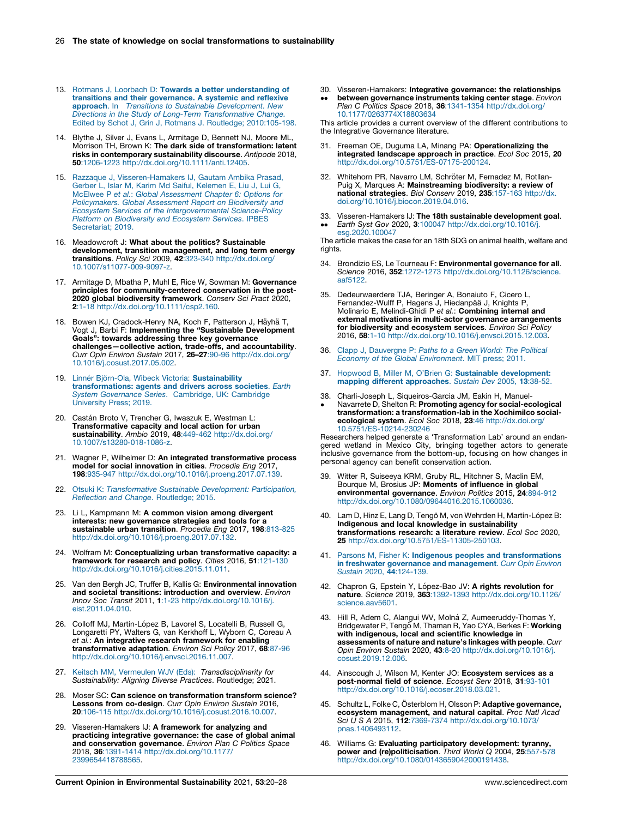- <span id="page-6-0"></span>13. Rotmans J, Loorbach D: Towards a better [understanding](http://refhub.elsevier.com/S1877-3435(21)00074-9/sbref0065) of transitions and their [governance.](http://refhub.elsevier.com/S1877-3435(21)00074-9/sbref0065) A systemic and reflexive approach. In Transitions to Sustainable [Development.](http://refhub.elsevier.com/S1877-3435(21)00074-9/sbref0065) New Directions in the Study of Long-Term [Transformative](http://refhub.elsevier.com/S1877-3435(21)00074-9/sbref0065) Change. Edited by Schot J, Grin J, Rotmans J. Routledge; [2010:105-198.](http://refhub.elsevier.com/S1877-3435(21)00074-9/sbref0065)
- 14. Blythe J, Silver J, Evans L, Armitage D, Bennett NJ, Moore ML, Morrison TH, Brown K: The dark side of transformation: latent risks in contemporary sustainability discourse. Antipode 2018, 50:1206-1223 <http://dx.doi.org/10.1111/anti.12405>.
- 15. Razzaque J, [Visseren-Hamakers](http://refhub.elsevier.com/S1877-3435(21)00074-9/sbref0075) IJ, Gautam Ambika Prasad,<br>Gerber L, Islar M, Karim Md Saiful, [Kelemen](http://refhub.elsevier.com/S1877-3435(21)00074-9/sbref0075) E, Liu J, Lui G,<br>McElwee P et al.: Global [Assessment](http://refhub.elsevier.com/S1877-3435(21)00074-9/sbref0075) Chapter 6: Options for [Policymakers.](http://refhub.elsevier.com/S1877-3435(21)00074-9/sbref0075) Global Assessment Report on Biodiversity and Ecosystem Services of the [Intergovernmental](http://refhub.elsevier.com/S1877-3435(21)00074-9/sbref0075) Science-Policy Platform on [Biodiversity](http://refhub.elsevier.com/S1877-3435(21)00074-9/sbref0075) and Ecosystem Services. IPBES Secretariat: 2019.
- 16. Meadowcroft J: What about the politics? Sustainable development, transition management, and long term energy transitions. Policy Sci 2009, 42:323-340 [http://dx.doi.org/](http://dx.doi.org/10.1007/s11077-009-9097-z) [10.1007/s11077-009-9097-z](http://dx.doi.org/10.1007/s11077-009-9097-z).
- 17. Armitage D, Mbatha P, Muhl E, Rice W, Sowman M: Governance principles for community-centered conservation in the post-2020 global biodiversity framework. Conserv Sci Pract 2020, 2:1-18 <http://dx.doi.org/10.1111/csp2.160>.
- 18. Bowen KJ, Cradock-Henry NA, Koch F, Patterson J, Häyhä T, Vogt J, Barbi F: Implementing the "Sustainable Development Goals": towards addressing three key governance challenges—collective action, trade-offs, and accountability. Curr Opin Environ Sustain 2017, 26–27:90-96 [http://dx.doi.org/](http://dx.doi.org/10.1016/j.cosust.2017.05.002) [10.1016/j.cosust.2017.05.002](http://dx.doi.org/10.1016/j.cosust.2017.05.002).
- 19. Linnér Björn-Ola, Wibeck Victoria: [Sustainability](http://refhub.elsevier.com/S1877-3435(21)00074-9/sbref0095) [transformations:](http://refhub.elsevier.com/S1877-3435(21)00074-9/sbref0095) agents and drivers across societies. Earth System [Governance](http://refhub.elsevier.com/S1877-3435(21)00074-9/sbref0095) Series. Cambridge, UK: Cambridge [University](http://refhub.elsevier.com/S1877-3435(21)00074-9/sbref0095) Press; 2019.
- 20. Castán Broto V, Trencher G, Iwaszuk E, Westman L:<br>Transformative capacity and local action for urban sustainability. Ambio 2019, 48:449-462 [http://dx.doi.org/](http://dx.doi.org/10.1007/s13280-018-1086-z) [10.1007/s13280-018-1086-z](http://dx.doi.org/10.1007/s13280-018-1086-z).
- 21. Wagner P, Wilhelmer D: An integrated transformative process model for social innovation in cities. Procedia Eng 2017, 198:935-947 <http://dx.doi.org/10.1016/j.proeng.2017.07.139>.
- 22. Otsuki K: [Transformative](http://refhub.elsevier.com/S1877-3435(21)00074-9/sbref0110) Sustainable Development: Participation, Reflection and Change. [Routledge;](http://refhub.elsevier.com/S1877-3435(21)00074-9/sbref0110) 2015.
- 23. Li L, Kampmann M: A common vision among divergent interests: new governance strategies and tools for a sustainable urban transition. Procedia Eng 2017, 198:813-825 <http://dx.doi.org/10.1016/j.proeng.2017.07.132>.
- 24. Wolfram M: Conceptualizing urban transformative capacity: a framework for research and policy. Cities 2016, 51:121-130 <http://dx.doi.org/10.1016/j.cities.2015.11.011>.
- 25. Van den Bergh JC, Truffer B, Kallis G: **Environmental innovation**<br>and societal transitions: introduction and overview. *Environ* Innov Soc Transit 2011, 1:1-23 [http://dx.doi.org/10.1016/j.](http://dx.doi.org/10.1016/j.eist.2011.04.010) [eist.2011.04.010.](http://dx.doi.org/10.1016/j.eist.2011.04.010)
- 26. Colloff MJ, Martín-López B, Lavorel S, Locatelli B, Russell G, Longaretti PY, Walters G, van Kerkhoff L, Wyborn C, Coreau A et al.: An integrative research framework for enabling transformative adaptation. Environ Sci Policy 2017, 68:87-96 <http://dx.doi.org/10.1016/j.envsci.2016.11.007>.
- 27. Keitsch MM, Vermeulen WJV (Eds): [Transdisciplinarity](http://refhub.elsevier.com/S1877-3435(21)00074-9/sbref0135) for [Sustainability:](http://refhub.elsevier.com/S1877-3435(21)00074-9/sbref0135) Aligning Diverse Practices. Routledge; 2021.
- 28. Moser SC: Can science on transformation transform science? Lessons from co-design. Curr Opin Environ Sustain 2016, 20:106-115 <http://dx.doi.org/10.1016/j.cosust.2016.10.007>.
- 29. Visseren-Hamakers IJ: A framework for analyzing and practicing integrative governance: the case of global animal and conservation governance. Environ Plan C Politics Space 2018, 36:1391-1414 [http://dx.doi.org/10.1177/](http://dx.doi.org/10.1177/2399654418788565) [2399654418788565](http://dx.doi.org/10.1177/2399654418788565).
- 30. Visseren-Hamakers: Integrative governance: the relationships
- $\ddot{\phantom{0}}$ between governance instruments taking center stage. Environ Plan C Politics Space 2018, 36:1341-1354 [http://dx.doi.org/](http://dx.doi.org/10.1177/0263774X18803634) [10.1177/0263774X18803634](http://dx.doi.org/10.1177/0263774X18803634)

This article provides a current overview of the different contributions to the Integrative Governance literature.

- 31. Freeman OE, Duguma LA, Minang PA: Operationalizing the integrated landscape approach in practice. Ecol Soc 2015, 20 <http://dx.doi.org/10.5751/ES-07175-200124>.
- 32. Whitehorn PR, Navarro LM, Schröter M, Fernadez M, Rotllan-Puig X, Marques A: Mainstreaming biodiversity: a review of national strategies. Biol Conserv 2019, 235:157-163 [http://dx.](http://dx.doi.org/10.1016/j.biocon.2019.04.016) [doi.org/10.1016/j.biocon.2019.04.016.](http://dx.doi.org/10.1016/j.biocon.2019.04.016)
- 33. Visseren-Hamakers IJ: The 18th sustainable development goal.  $\bullet\bullet$ Earth Syst Gov 2020, 3:100047 [http://dx.doi.org/10.1016/j.](http://dx.doi.org/10.1016/j.esg.2020.100047)
- [esg.2020.100047](http://dx.doi.org/10.1016/j.esg.2020.100047) The article makes the case for an 18th SDG on animal health, welfare and

rights.

- 34. Brondizio ES, Le Tourneau F: Environmental governance for all. Science 2016, 352:1272-1273 [http://dx.doi.org/10.1126/science.](http://dx.doi.org/10.1126/science.aaf5122) [aaf5122](http://dx.doi.org/10.1126/science.aaf5122).
- 35. Dedeurwaerdere TJA, Beringer A, Bonaiuto F, Cicero L, Fernandez-Wulff P, Hagens J, Hiedanpää J, Knights P Molinario E, Melindi-Ghidi P et al.: Combining internal and external motivations in multi-actor governance arrangements for biodiversity and ecosystem services. Environ Sci Policy 2016, 58:1-10 <http://dx.doi.org/10.1016/j.envsci.2015.12.003>.
- 36. Clapp J, [Dauvergne](http://refhub.elsevier.com/S1877-3435(21)00074-9/sbref0180) P: Paths to a Green World: The Political Economy of the Global [Environment](http://refhub.elsevier.com/S1877-3435(21)00074-9/sbref0180). MIT press; 2011.
- 37. Hopwood B, Miller M, O'Brien G: Sustainable [development:](http://refhub.elsevier.com/S1877-3435(21)00074-9/sbref0185) mapping different [approaches](http://refhub.elsevier.com/S1877-3435(21)00074-9/sbref0185). Sustain Dev 2005, 13:38-52.
- 38. Charli-Joseph L, Siqueiros-Garcia JM, Eakin H, Manuel-
- $\bullet$ Navarrete D, Shelton R: Promoting agency for social-ecological transformation: a transformation-lab in the Xochimilco socialecological system. Ecol Soc 2018, 23:46 [http://dx.doi.org/](http://dx.doi.org/10.5751/ES-10214-230246) [10.5751/ES-10214-230246](http://dx.doi.org/10.5751/ES-10214-230246)

Researchers helped generate a 'Transformation Lab' around an endan-gered wetland in Mexico City, bringing together actors to generate inclusive governance from the bottom-up, focusing on how changes in personal agency can benefit conservation action.

- 39. Witter R, Suiseeya KRM, Gruby RL, Hitchner S, Maclin EM, Bourque M, Brosius JP: Moments of influence in global environmental governance. Environ Politics 2015, 24:894-912 <http://dx.doi.org/10.1080/09644016.2015.1060036>.
- 40. Lam D, Hinz E, Lang D, Tengö M, von Wehrden H, Martín-López B: Indigenous and local knowledge in sustainability transformations research: a literature review. Ecol Soc 2020,<br>**25** <http://dx.doi.org/10.5751/ES-11305-250103>.
- 41. Parsons M, Fisher K: Indigenous peoples and [transformations](http://refhub.elsevier.com/S1877-3435(21)00074-9/sbref0205) in freshwater governance and [management](http://refhub.elsevier.com/S1877-3435(21)00074-9/sbref0205). Curr Opin Environ Sustain 2020, 44[:124-139.](http://refhub.elsevier.com/S1877-3435(21)00074-9/sbref0205)
- 42. Chapron G, Epstein Y, López-Bao JV: **A rights revolution for**<br>**nature**. Science 2019, 363:1392-1393 [http://dx.doi.org/10.1126/](http://dx.doi.org/10.1126/science.aav5601) [science.aav5601.](http://dx.doi.org/10.1126/science.aav5601)
- 43. Hill R, Adem C, Alangui WV, Molná Z, Aumeeruddy-Thomas Y,<br>Bridgewater P, Tengö M, Thaman R, Yao CYA, Berkes F: **Working** with indigenous, local and scientific knowledge in assessments of nature and nature's linkages with people. Curr Opin Environ Sustain 2020, 43:8-20 [http://dx.doi.org/10.1016/j.](http://dx.doi.org/10.1016/j.cosust.2019.12.006) [cosust.2019.12.006](http://dx.doi.org/10.1016/j.cosust.2019.12.006).
- 44. Ainscough J, Wilson M, Kenter JO: Ecosystem services as a post-normal field of science. Ecosyst Serv 2018, 31:93-101 [http://dx.doi.org/10.1016/j.ecoser.2018.03.021.](http://dx.doi.org/10.1016/j.ecoser.2018.03.021)
- 45. Schultz L, Folke C, Österblom H, Olsson P: Adaptive governance, **ecosystem management, and natural capital**. Proc Natl Acad<br>Sci U S A 2015, **112**:7369-7374 [http://dx.doi.org/10.1073/](http://dx.doi.org/10.1073/pnas.1406493112) [pnas.1406493112](http://dx.doi.org/10.1073/pnas.1406493112).
- 46. Williams G: Evaluating participatory development: tyranny, power and (re)politicisation. Third World Q 2004, 25:557-578 <http://dx.doi.org/10.1080/0143659042000191438>.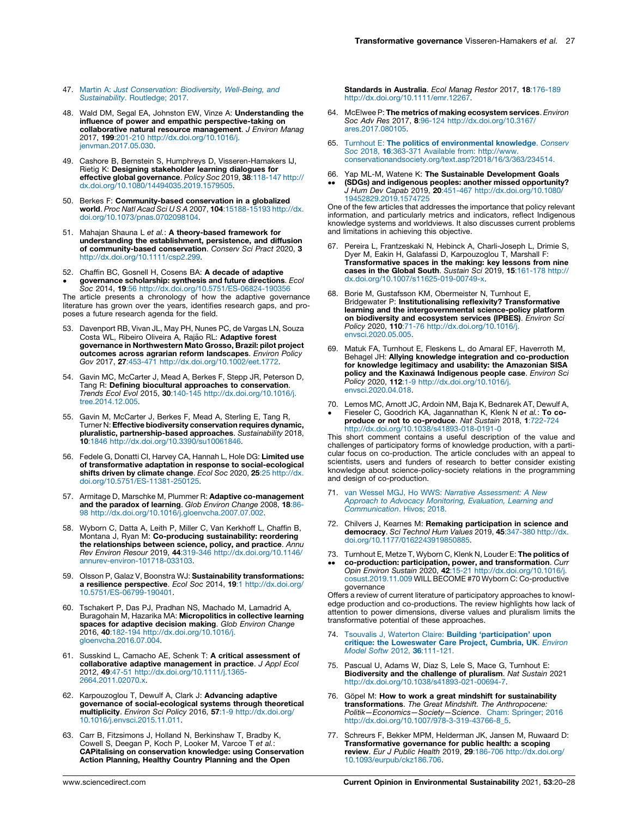- <span id="page-7-0"></span>47. Martin A: Just [Conservation:](http://refhub.elsevier.com/S1877-3435(21)00074-9/sbref0235) Biodiversity, Well-Being, and [Sustainability](http://refhub.elsevier.com/S1877-3435(21)00074-9/sbref0235). Routledge; 2017.
- 48. Wald DM, Segal EA, Johnston EW, Vinze A: Understanding the influence of power and empathic perspective-taking on collaborative natural resource management. J Environ Manag 2017, 199:201-210 [http://dx.doi.org/10.1016/j.](http://dx.doi.org/10.1016/j.jenvman.2017.05.030) [jenvman.2017.05.030.](http://dx.doi.org/10.1016/j.jenvman.2017.05.030)
- 49. Cashore B, Bernstein S, Humphreys D, Visseren-Hamakers IJ, Rietig K: Designing stakeholder learning dialogues for effective global governance. Policy Soc 2019, 38:118-147 [http://](http://dx.doi.org/10.1080/14494035.2019.1579505) [dx.doi.org/10.1080/14494035.2019.1579505.](http://dx.doi.org/10.1080/14494035.2019.1579505)
- 50. Berkes F: Community-based conservation in a globalized world. Proc Natl Acad Sci U S A 2007, 104:15188-15193 [http://dx.](http://dx.doi.org/10.1073/pnas.0702098104) [doi.org/10.1073/pnas.0702098104.](http://dx.doi.org/10.1073/pnas.0702098104)
- 51. Mahajan Shauna L et al.: A theory-based framework for understanding the establishment, persistence, and diffusion of community-based conservation. Conserv Sci Pract 2020, 3 <http://dx.doi.org/10.1111/csp2.299>.
- 52. Chaffin BC, Gosnell H, Cosens BA: A decade of adaptive  $\bullet$ governance scholarship: synthesis and future directions. Ecol

Soc 2014, 19:56 <http://dx.doi.org/10.5751/ES-06824-190356> The article presents a chronology of how the adaptive governance literature has grown over the years, identifies research gaps, and proposes a future research agenda for the field.

- 53. Davenport RB, Vivan JL, May PH, Nunes PC, de Vargas LN, Souza Costa WL, Ribeiro Oliveira A, Rajão RL: Adaptive forest governance in Northwestern Mato Grosso, Brazil: pilot project outcomes across agrarian reform landscapes. Environ Policy Gov 2017, 27:453-471 <http://dx.doi.org/10.1002/eet.1772>.
- 54. Gavin MC, McCarter J, Mead A, Berkes F, Stepp JR, Peterson D, Tang R: Defining biocultural approaches to conservation. Trends Ecol Evol 2015, 30:140-145 [http://dx.doi.org/10.1016/j.](http://dx.doi.org/10.1016/j.tree.2014.12.005) [tree.2014.12.005.](http://dx.doi.org/10.1016/j.tree.2014.12.005)
- 55. Gavin M, McCarter J, Berkes F, Mead A, Sterling E, Tang R, Turner N: Effective biodiversity conservation requires dynamic, pluralistic, partnership-based approaches. Sustainability 2018, 10:1846 [http://dx.doi.org/10.3390/su10061846.](http://dx.doi.org/10.3390/su10061846)
- 56. Fedele G, Donatti CI, Harvey CA, Hannah L, Hole DG: Limited use of transformative adaptation in response to social-ecological shifts driven by climate change. Ecol Soc 2020, 25:25 [http://dx.](http://dx.doi.org/10.5751/ES-11381-250125) [doi.org/10.5751/ES-11381-250125](http://dx.doi.org/10.5751/ES-11381-250125).
- 57. Armitage D, Marschke M, Plummer R: Adaptive co-management and the paradox of learning. Glob Environ Change 2008, 18:86- 98 [http://dx.doi.org/10.1016/j.gloenvcha.2007.07.002.](http://dx.doi.org/10.1016/j.gloenvcha.2007.07.002)
- 58. Wyborn C, Datta A, Leith P, Miller C, Van Kerkhoff L, Chaffin B, Montana J, Ryan M: Co-producing sustainability: reordering the relationships between science, policy, and practice. Annu Rev Environ Resour 2019, 44:319-346 [http://dx.doi.org/10.1146/](http://dx.doi.org/10.1146/annurev-environ-101718-033103) [annurev-environ-101718-033103.](http://dx.doi.org/10.1146/annurev-environ-101718-033103)
- 59. Olsson P, Galaz V, Boonstra WJ: Sustainability transformations: **a resilience perspective.** *Ecol Soc* 2014, **19**:1 [http://dx.doi.org/](http://dx.doi.org/10.5751/ES-06799-190401)<br>[10.5751/ES-06799-190401](http://dx.doi.org/10.5751/ES-06799-190401).
- 60. Tschakert P, Das PJ, Pradhan NS, Machado M, Lamadrid A, Buragohain M, Hazarika MA: Micropolitics in collective learning spaces for adaptive decision making. Glob Environ Change 2016, 40:182-194 [http://dx.doi.org/10.1016/j.](http://dx.doi.org/10.1016/j.gloenvcha.2016.07.004) [gloenvcha.2016.07.004](http://dx.doi.org/10.1016/j.gloenvcha.2016.07.004).
- 61. Susskind L, Camacho AE, Schenk T: A critical assessment of collaborative adaptive management in practice. J Appl Ecol 2012, 49:47-51 [http://dx.doi.org/10.1111/j.1365-](http://dx.doi.org/10.1111/j.1365-2664.2011.02070.x) [2664.2011.02070.x](http://dx.doi.org/10.1111/j.1365-2664.2011.02070.x).
- 62. Karpouzoglou T, Dewulf A, Clark J: Advancing adaptive governance of social-ecological systems through theoretical multiplicity. Environ Sci Policy 2016, 57:1-9 [http://dx.doi.org/](http://dx.doi.org/10.1016/j.envsci.2015.11.011) [10.1016/j.envsci.2015.11.011](http://dx.doi.org/10.1016/j.envsci.2015.11.011).
- 63. Carr B, Fitzsimons J, Holland N, Berkinshaw T, Bradby K, Cowell S, Deegan P, Koch P, Looker M, Varcoe T et al.: CAPitalising on conservation knowledge: using Conservation Action Planning, Healthy Country Planning and the Open

Standards in Australia. Ecol Manag Restor 2017, 18:176-189 <http://dx.doi.org/10.1111/emr.12267>.

- 64. McElwee P: The metrics of making ecosystem services. Environ Soc Adv Res 2017, 8:96-124 [http://dx.doi.org/10.3167/](http://dx.doi.org/10.3167/ares.2017.080105) [ares.2017.080105](http://dx.doi.org/10.3167/ares.2017.080105).
- 65. Turnhout E: The politics of [environmental](http://refhub.elsevier.com/S1877-3435(21)00074-9/sbref0325) knowledge. Conserv Soc 2018, 16:363-371 Available from: [http://www.](http://refhub.elsevier.com/S1877-3435(21)00074-9/sbref0325) [conservationandsociety.org/text.asp?2018/16/3/363/234514.](http://refhub.elsevier.com/S1877-3435(21)00074-9/sbref0325)
- 66. Yap ML-M, Watene K: The Sustainable Development Goals
- $\ddot{\phantom{0}}$ **(SDGs) and indigenous peoples: another missed opportunity?**<br>J Hum Dev Capab 2019, **20**:451-467 [http://dx.doi.org/10.1080/](http://dx.doi.org/10.1080/19452829.2019.1574725) [19452829.2019.1574725](http://dx.doi.org/10.1080/19452829.2019.1574725)

One of the few articles that addresses the importance that policy relevant information, and particularly metrics and indicators, reflect Indigenous knowledge systems and worldviews. It also discusses current problems and limitations in achieving this objective.

- 67. Pereira L, Frantzeskaki N, Hebinck A, Charli-Joseph L, Drimie S, Dyer M, Eakin H, Galafassi D, Karpouzoglou T, Marshall F: Transformative spaces in the making: key lessons from nine cases in the Global South. Sustain Sci 2019, 15:161-178 [http://](http://dx.doi.org/10.1007/s11625-019-00749-x) [dx.doi.org/10.1007/s11625-019-00749-x](http://dx.doi.org/10.1007/s11625-019-00749-x).
- 68. Borie M, Gustafsson KM, Obermeister N, Turnhout E, Bridgewater P: Institutionalising reflexivity? Transformative learning and the intergovernmental science-policy platform on biodiversity and ecosystem services (IPBES). Environ Sci Policy 2020, 110:71-76 [http://dx.doi.org/10.1016/j.](http://dx.doi.org/10.1016/j.envsci.2020.05.005) [envsci.2020.05.005](http://dx.doi.org/10.1016/j.envsci.2020.05.005).
- Matuk FA, Turnhout E, Fleskens L, do Amaral EF, Haverroth M, Behagel JH: Allying knowledge integration and co-production for knowledge legitimacy and usability: the Amazonian SISA policy and the Kaxinawa<sup>I</sup> Indigenous people case. Environ Sci Policy 2020, 112:1-9 [http://dx.doi.org/10.1016/j.](http://dx.doi.org/10.1016/j.envsci.2020.04.018) [envsci.2020.04.018](http://dx.doi.org/10.1016/j.envsci.2020.04.018).
- 70. Lemos MC, Arnott JC, Ardoin NM, Baja K, Bednarek AT, Dewulf A,
- $\cdot$ Fieseler C, Goodrich KA, Jagannathan K, Klenk N et al.: To co**produce or not to co-produce**. *Nat Sustain* 2018, 1:722-724<br><http://dx.doi.org/10.1038/s41893-018-0191-0>

This short comment contains a useful description of the value and challenges of participatory forms of knowledge production, with a particular focus on co-production. The article concludes with an appeal to scientists, users and funders of research to better consider existing knowledge about science-policy-society relations in the programming and design of co-production.

- 71. van Wessel MGJ, Ho WWS: Narrative [Assessment:](http://refhub.elsevier.com/S1877-3435(21)00074-9/sbref0355) A New Approach to Advocacy [Monitoring,](http://refhub.elsevier.com/S1877-3435(21)00074-9/sbref0355) Evaluation, Learning and [Communication](http://refhub.elsevier.com/S1877-3435(21)00074-9/sbref0355). Hivos; 2018.
- 72. Chilvers J, Kearnes M: Remaking participation in science and democracy. Sci Technol Hum Values 2019, 45:347-380 [http://dx.](http://dx.doi.org/10.1177/0162243919850885) [doi.org/10.1177/0162243919850885](http://dx.doi.org/10.1177/0162243919850885).
- 73. Turnhout E, Metze T, Wyborn C, Klenk N, Louder E: The politics of  $\ddot{\phantom{0}}$ **co-production: participation, power, and transformation**. *Curr*<br>Opin Environ Sustain 2020, 42:15-21 [http://dx.doi.org/10.1016/j.](http://dx.doi.org/10.1016/j.cosust.2019.11.009)<br>[cosust.2019.11.009](http://dx.doi.org/10.1016/j.cosust.2019.11.009) WILL BECOME #70 Wyborn C: Co-productive governance

Offers a review of current literature of participatory approaches to knowl-edge production and co-productions. The review highlights how lack of attention to power dimensions, diverse values and pluralism limits the transformative potential of these approaches.

- 74. Tsouvalis J, Waterton Claire: Building ['participation'](http://refhub.elsevier.com/S1877-3435(21)00074-9/sbref0370) upon critique: the [Loweswater](http://refhub.elsevier.com/S1877-3435(21)00074-9/sbref0370) Care Project, Cumbria, UK. Environ<br>Model Softw 2012, 36[:111-121.](http://refhub.elsevier.com/S1877-3435(21)00074-9/sbref0370)
- 75. Pascual U, Adams W, Diaz S, Lele S, Mace G, Turnhout E: Biodiversity and the challenge of pluralism. Nat Sustain 2021<br><http://dx.doi.org/10.1038/s41893-021-00694-7>.
- 76. Göpel M: How to work a great mindshift for sustainability **transformations**. The Great Mindshift. The Anthropocene:<br>Politik—Economics—Society—Science. Cham: Springer; 2016 [http://dx.doi.org/10.1007/978-3-319-43766-8\\_5.](http://dx.doi.org/10.1007/978-3-319-43766-8_5)
- 77. Schreurs F, Bekker MPM, Helderman JK, Jansen M, Ruwaard D: Transformative governance for public health: a scoping review. Eur J Public Health 2019, 29:186-706 [http://dx.doi.org/](http://dx.doi.org/10.1093/eurpub/ckz186.706) [10.1093/eurpub/ckz186.706.](http://dx.doi.org/10.1093/eurpub/ckz186.706)